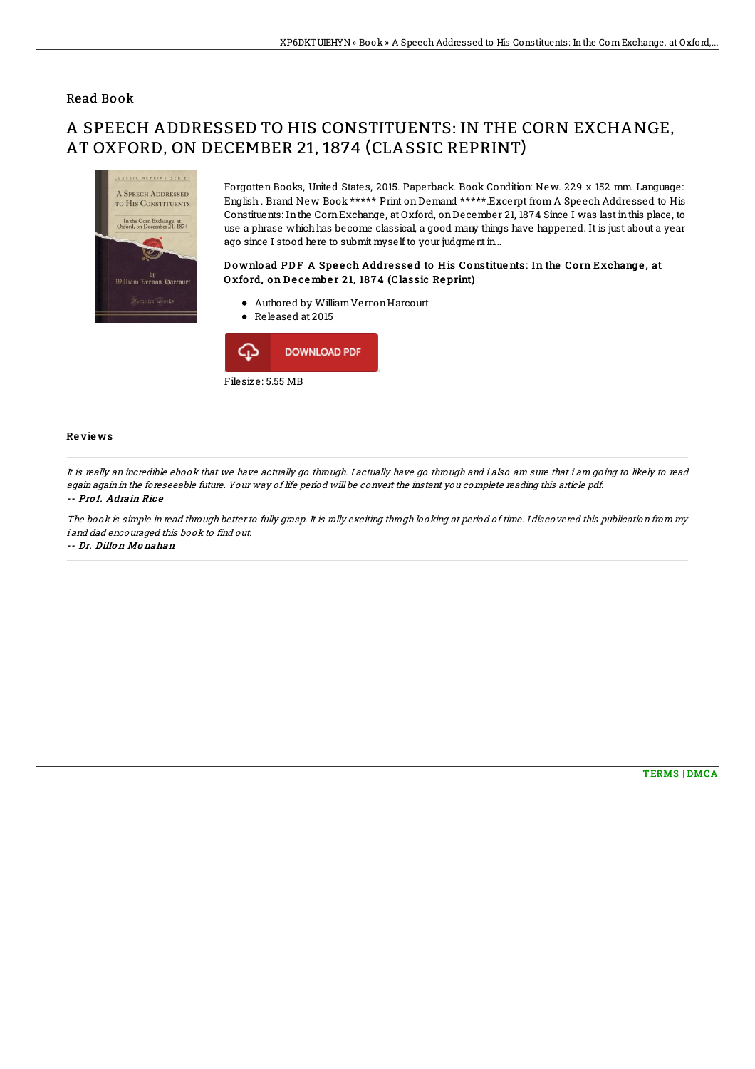### Read Book

# A SPEECH ADDRESSED TO HIS CONSTITUENTS: IN THE CORN EXCHANGE, AT OXFORD, ON DECEMBER 21, 1874 (CLASSIC REPRINT)



Forgotten Books, United States, 2015. Paperback. Book Condition: New. 229 x 152 mm. Language: English . Brand New Book \*\*\*\*\* Print on Demand \*\*\*\*\*.Excerpt from A Speech Addressed to His Constituents: Inthe CornExchange, at Oxford, onDecember 21, 1874 Since I was last inthis place, to use a phrase which has become classical, a good many things have happened. It is just about a year ago since I stood here to submit myself to your judgment in...

Download PDF A Speech Addressed to His Constituents: In the Corn Exchange, at Oxford, on December 21, 1874 (Classic Reprint)

- Authored by WilliamVernonHarcourt
- Released at 2015



#### Re vie ws

It is really an incredible ebook that we have actually go through. I actually have go through and i also am sure that i am going to likely to read again again in the foreseeable future. Your way of life period will be convert the instant you complete reading this article pdf. -- Prof. Adrain Rice

The book is simple in read through better to fully grasp. It is rally exciting throgh looking at period of time. I discovered this publication from my i and dad encouraged this book to find out.

-- Dr. Dillo <sup>n</sup> Mo nahan